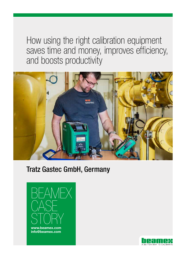How using the right calibration equipment saves time and money, improves efficiency, and boosts productivity



# Tratz Gastec GmbH, Germany



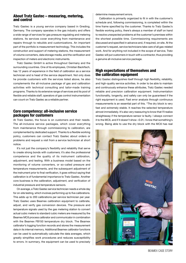## About Tratz Gastec – measuring, metering, and control

Tratz Gastec is a young service company based in Greding, Germany. The company operates in the gas industry and offers a wide range of services for gas pressure regulating and metering stations. Its services cover everything from maintenance and repairs through to rebuilds and customizations. An important part of the portfolio is measurement technology. This includes the construction and support of metering stations, the measurement of volume converters, data storage media, and the verification and inspection of meters and electronic instruments.

Tratz Gastec GmbH is active throughout Germany and the surrounding countries. One of its employees, Christian Backfisch, has 12 years of experience in the field of calibration as a service technician and is head of the service department. Not only does he provide customers with the services listed above, he also complements the all-inclusive package of gas and calibration activities with technical consulting and tailor-made training programs. Thanks to its extensive range of services and its pool of flexible and reliable staff, operators of gas control instrumentation can count on Tratz Gastec as a reliable partner.

## Core competency: all-inclusive service packages for customers

At Tratz Gastec, the focus is on customers and their needs. The all-inclusive service packages, which cover everything from maintenance through commissioning to calibration, are complemented by dedicated support. Thanks to a flexible working policy, customers can contact Tratz Gastec about orders or problems and request a visit from a service technician at short notice.

It's not just the company's flexibility and reliability that serve to create strong bonds with customers; it's also the professional competence and the quality of its instrument calibration, adjustment, and testing. With a business model based on the monitoring of volume converters, or so-called pressure and temperature measurements, and the subsequent adjustment of the instrument prior to final verification, it goes without saying that calibration is of fundamental importance to Tratz Gastec. Another core business is the calibration, adjustment, and verification of industrial pressure and temperature sensors.

On average, a Tratz Gastec service technician needs a whole day for on-site testing, which involves performing up to five calibrations. This adds up to 200 calibrations per service technician per year. Tratz Gastec uses Beamex calibration equipment to calibrate, adjust, and verify gas conversion devices. The pressure and temperature signals used by the gas metering station to convert actual cubic meters to standard cubic meters are measured by the Beamex MC6 process calibrator and communicator in combination with the Beamex FB150 temperature dry block. The Beamex calibrator's logging function records and stores the measurement data in its internal memory. Additional Beamex calibrator functions can be used to automatically calculate the data averages, which greatly simplifies work procedures and reduces susceptibility to errors. In summary, the equipment can be used to precisely

determine measurement errors.

Calibration is primarily organized to fit in with the customer's schedule and, following commissioning, is completed within the time frame specified by the customer. Thanks to Tratz Gastec's flexible working policy, there's always a member of staff on hand to resolve unexpected problems at the customer's premises within the shortest possible time. Commissioning requirements are discussed and specified in advance and, if required, on site. At the customer's request, service technicians take care of all gas-related work. And for anything not included in the scope of service, Tratz Gastec will put customers in touch with a contractor, thus providing a genuine all-inclusive service package.

## High expectations of themselves and the calibration equipment

Tratz Gastec distinguishes itself through high flexibility, reliability, and high-quality service activities. In order to be able to maintain and continuously enhance these attributes, Tratz Gastec needed reliable and precision calibration equipment. Instrumentation functionality, longevity, and safety can only be guaranteed if the right equipment is used. Fast error analysis through continuous measurements is an essential part of this. "The dry block is very fast and extremely stable. It reaches the selected temperature almost immediately. It's also very reassuring to know that I'll realize straightaway if the temperature sensor is faulty. I always connect it to the MC6, and if it doesn't show –0.01, I know that something's wrong. Being able to use the dry block with the MC6 has real



BEAMEX CASE STORY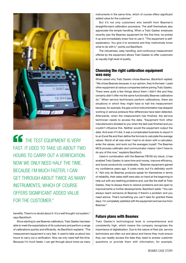

THE TEST EQUIPMENT IS VERY FAST. IT USED TO TAKE US ABOUT TWO HOURS TO CARRY OUT A VERIFICATION. NOW WE ONLY NEED HALF THE TIME. BECAUSE I'M MUCH FASTER, I CAN GET THROUGH ABOUT TWICE AS MANY INSTRUMENTS, WHICH OF COURSE OFFERS SIGNIFICANT ADDED VALUE FOR THE CUSTOMER."

benefits. There's no doubt about it: it's a well thought-out system," says Backfisch.

Since starting to use Beamex calibrators, Tratz Gastec has been able to meet the expectations of its customers and perform a range of calibrations quickly and efficiently. As Backfisch explains: "The measurement equipment is very fast. It used to take us about two hours to carry out a verification. Now we only need half the time. Because I'm much faster, I can get through about twice as many instruments in the same time, which of course offers significant added value for the customer."

But it's not only customers who benefit from Beamex's straightforward calibration procedure. The staff themselves also appreciate the simple handling. When a Tratz Gastec employee recently saw the Beamex equipment for the first time, he picked it up and immediately knew how to use it. "The equipment is selfexplanatory. You give it to someone and they instinctively know what to do with it," points out Backfisch.

The robustness, easy handling, and continuous measurement offered by the equipment allows Tratz Gastec to offer customers an equally high level of quality.

# Choosing the right calibration equipment was easy

When asked why Tratz Gastec chose Beamex, Backfisch replied: "We chose Beamex because, in our opinion, they're the best. I used other equipment at various companies before joining Tratz Gastec. There were quite a few things about them I didn't like and they certainly didn't offer me the same functionality Beamex calibrators do." When service technicians perform calibrations, there are situations in which they might have to halt the measurement because, for example, the gas control instrumentation has stopped working or serious pressure flow differences have been detected. Afterwards, when the measurement has finished, the service technician needs to access the data. "Equipment from other manufacturers dictated to you when the test was finished and you couldn't influence this. Neither would the equipment output the data. And even if it did, it was a complicated business to export it to an Excel file and then define the formula to calculate the average values. Worst of all was when I had to sit down with a calculator, enter the values, and work out the averages myself. The Beamex MC6 process calibrator and communicator means I don't have to do any of this now," explains Backfisch.

Used in combination with the Beamex FB150 dry block, it has enabled Tratz Gastec to save time and money, improve efficiency, and boost productivity considerably. "Beamex equipment gained my confidence years ago. It costs more, but it's definitely worth it." Not only do Beamex products speak for themselves in terms of reliability, their sales staff were also on hand at the beginning to help out with any teething problems and, just like the staff at Tratz Gastec, they're always there to resolve problems and are open to improvements or further developments. Backfisch adds: "You can always reach someone at Beamex if there's a problem and you need advice. That's something you can't take for granted these days. I'm completely satisfied with the equipment and service from Beamex."

# Future plans with Beamex

Tratz Gastec's technological level is comprehensive and consistently high, which means the company recognizes the importance of digitalization. Due to the nature of their job, service technicians are often out and about and hence they must ensure they can readily access the data they need to answer customer questions or provide them with information, for example.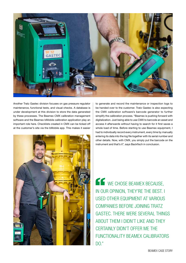

Another Tratz Gastec division focuses on gas pressure regulator maintenance, functional tests, and visual checks. A database is under development at this division to store the data generated by these processes. The Beamex CMX calibration management software and the Beamex bMobile calibration application play an important role here. Checklists created in CMX can be ticked off at the customer's site via the bMobile app. This makes it easier



to generate and record the maintenance or inspection logs to be handed over to the customer. Tratz Gastec is also expecting the CMX calibration software's barcode generator to further simplify the calibration process. "Beamex is pushing forward with digitalization. Just being able to use CMX to barcode an asset and access it afterwards without having to search for it first saves a whole load of time. Before starting to use Beamex equipment, I had to individually record every instrument, every time by manually entering its data into the log file together with its serial number and other details. Now, with CMX, you simply put the barcode on the instrument and that's it", says Backfisch in conclusion.

WE CHOSE BEAMEX BECAUSE, IN OUR OPINION, THEY'RE THE BEST. I USED OTHER EQUIPMENT AT VARIOUS COMPANIES BEFORE JOINING TRATZ GASTEC. THERE WERE SEVERAL THINGS ABOUT THEM I DIDN'T LIKE AND THEY CERTAINLY DIDN'T OFFER ME THE FUNCTIONALITY BEAMEX CALIBRATORS DO."